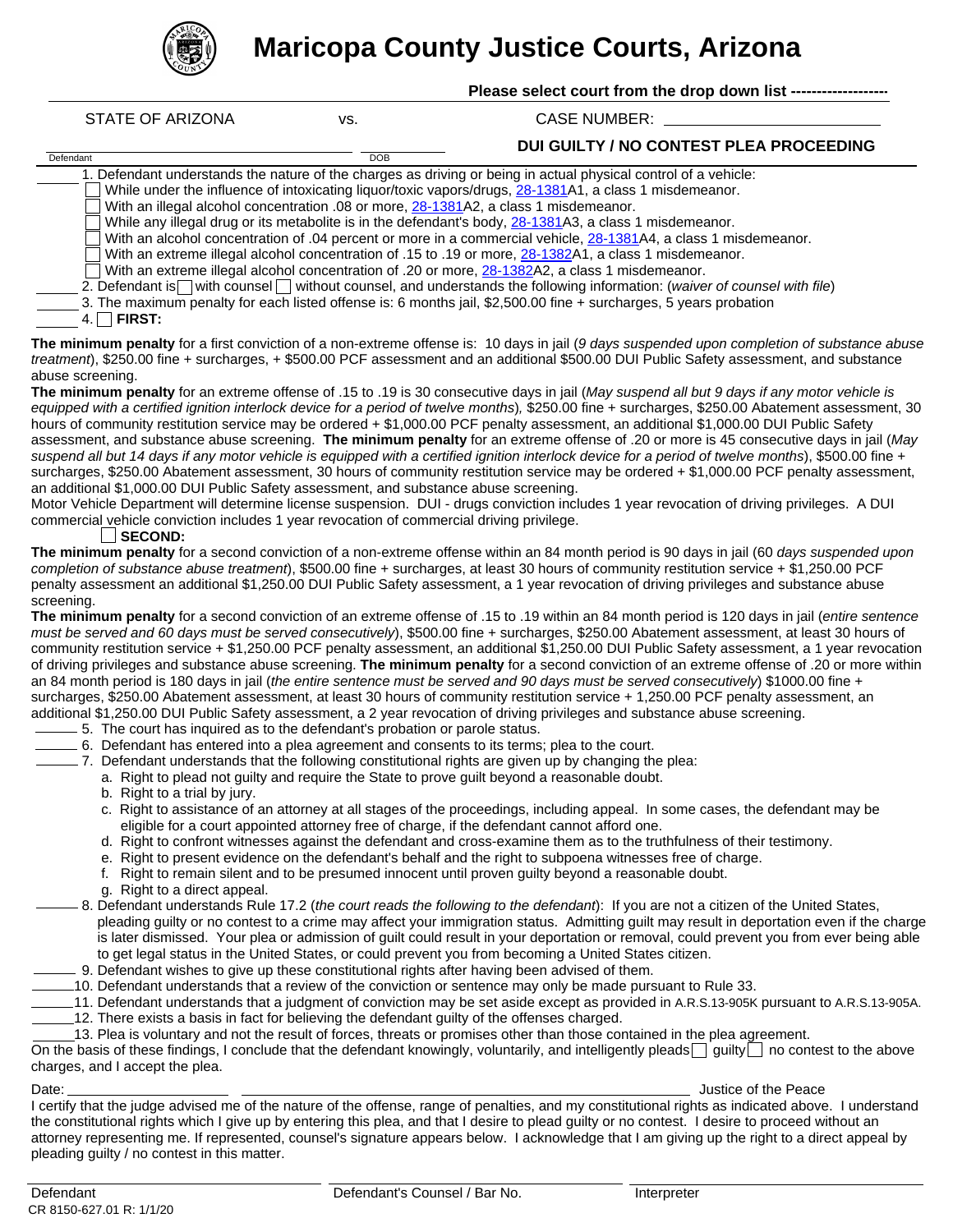

**Maricopa County Justice Courts, Arizona**

| STATE OF ARIZONA                                                                                                       | VS.        | CASE NUMBER:                            |
|------------------------------------------------------------------------------------------------------------------------|------------|-----------------------------------------|
| Defendant                                                                                                              | <b>DOB</b> | DUI GUILTY / NO CONTEST PLEA PROCEEDING |
| 1. Defendant understands the nature of the charges as driving or being in actual physical control of a vehicle:        |            |                                         |
| While under the influence of intoxicating liquor/toxic vapors/drugs, 28-1381A1, a class 1 misdemeanor.                 |            |                                         |
| With an illegal alcohol concentration .08 or more, 28-1381A2, a class 1 misdemeanor.                                   |            |                                         |
| While any illegal drug or its metabolite is in the defendant's body, 28-1381A3, a class 1 misdemeanor.                 |            |                                         |
| With an alcohol concentration of .04 percent or more in a commercial vehicle, 28-1381A4, a class 1 misdemeanor.        |            |                                         |
| With an extreme illegal alcohol concentration of .15 to .19 or more, 28-1382A1, a class 1 misdemeanor.                 |            |                                         |
| With an extreme illegal alcohol concentration of .20 or more, 28-1382A2, a class 1 misdemeanor.                        |            |                                         |
| 2. Defendant is with counsel without counsel, and understands the following information: (waiver of counsel with file) |            |                                         |
| 3. The maximum penalty for each listed offense is: 6 months jail, \$2,500.00 fine + surcharges, 5 years probation      |            |                                         |
| <b>FIRST:</b>                                                                                                          |            |                                         |

**The minimum penalty** for a first conviction of a non-extreme offense is: 10 days in jail (*9 days suspended upon completion of substance abuse treatment*), \$250.00 fine + surcharges, + \$500.00 PCF assessment and an additional \$500.00 DUI Public Safety assessment, and substance abuse screening.

**The minimum penalty** for an extreme offense of .15 to .19 is 30 consecutive days in jail (*May suspend all but 9 days if any motor vehicle is equipped with a certified ignition interlock device for a period of twelve months*)*,* \$250.00 fine + surcharges, \$250.00 Abatement assessment, 30 hours of community restitution service may be ordered + \$1,000.00 PCF penalty assessment, an additional \$1,000.00 DUI Public Safety assessment, and substance abuse screening. **The minimum penalty** for an extreme offense of .20 or more is 45 consecutive days in jail (*May suspend all but 14 days if any motor vehicle is equipped with a certified ignition interlock device for a period of twelve months*), \$500.00 fine + surcharges, \$250.00 Abatement assessment, 30 hours of community restitution service may be ordered + \$1,000.00 PCF penalty assessment, an additional \$1,000.00 DUI Public Safety assessment, and substance abuse screening.

Motor Vehicle Department will determine license suspension. DUI - drugs conviction includes 1 year revocation of driving privileges. A DUI commercial vehicle conviction includes 1 year revocation of commercial driving privilege.

## **SECOND:**

**The minimum penalty** for a second conviction of a non-extreme offense within an 84 month period is 90 days in jail (60 *days suspended upon completion of substance abuse treatment*), \$500.00 fine + surcharges, at least 30 hours of community restitution service + \$1,250.00 PCF penalty assessment an additional \$1,250.00 DUI Public Safety assessment, a 1 year revocation of driving privileges and substance abuse screening.

**The minimum penalty** for a second conviction of an extreme offense of .15 to .19 within an 84 month period is 120 days in jail (*entire sentence must be served and 60 days must be served consecutively*), \$500.00 fine + surcharges, \$250.00 Abatement assessment, at least 30 hours of community restitution service + \$1,250.00 PCF penalty assessment, an additional \$1,250.00 DUI Public Safety assessment, a 1 year revocation of driving privileges and substance abuse screening. **The minimum penalty** for a second conviction of an extreme offense of .20 or more within an 84 month period is 180 days in jail (*the entire sentence must be served and 90 days must be served consecutively*) \$1000.00 fine + surcharges, \$250.00 Abatement assessment, at least 30 hours of community restitution service + 1,250.00 PCF penalty assessment, an additional \$1,250.00 DUI Public Safety assessment, a 2 year revocation of driving privileges and substance abuse screening.

- $-5.$  The court has inquired as to the defendant's probation or parole status.
- 6. Defendant has entered into a plea agreement and consents to its terms; plea to the court.
	- $-7.$  Defendant understands that the following constitutional rights are given up by changing the plea:
		- a. Right to plead not guilty and require the State to prove guilt beyond a reasonable doubt.
		- b. Right to a trial by jury.
		- c. Right to assistance of an attorney at all stages of the proceedings, including appeal. In some cases, the defendant may be eligible for a court appointed attorney free of charge, if the defendant cannot afford one.
		- d. Right to confront witnesses against the defendant and cross-examine them as to the truthfulness of their testimony.
		- e. Right to present evidence on the defendant's behalf and the right to subpoena witnesses free of charge.
		- f. Right to remain silent and to be presumed innocent until proven guilty beyond a reasonable doubt.
		- g. Right to a direct appeal.
- 8. Defendant understands Rule 17.2 (*the court reads the following to the defendant*): If you are not a citizen of the United States, pleading guilty or no contest to a crime may affect your immigration status. Admitting guilt may result in deportation even if the charge is later dismissed. Your plea or admission of guilt could result in your deportation or removal, could prevent you from ever being able to get legal status in the United States, or could prevent you from becoming a United States citizen.
- 9. Defendant wishes to give up these constitutional rights after having been advised of them.
- 10. Defendant understands that a review of the conviction or sentence may only be made pursuant to Rule 33.
- 11. Defendant understands that a judgment of conviction may be set aside except as provided in A.R.S.13-905K pursuant to A.R.S.13-905A. 12. There exists a basis in fact for believing the defendant guilty of the offenses charged.
	- 13. Plea is voluntary and not the result of forces, threats or promises other than those contained in the plea agreement.

On the basis of these findings, I conclude that the defendant knowingly, voluntarily, and intelligently pleads  $\Box$  guilty  $\Box$  no contest to the above charges, and I accept the plea.

Date: Justice of the Peace and the Peace of the Peace of the Peace of the Peace of the Peace of the Peace of the Peace of the Peace of the Peace of the Peace of the Peace of the Peace of the Peace of the Peace of the Peace

I certify that the judge advised me of the nature of the offense, range of penalties, and my constitutional rights as indicated above. I understand the constitutional rights which I give up by entering this plea, and that I desire to plead guilty or no contest. I desire to proceed without an attorney representing me. If represented, counsel's signature appears below. I acknowledge that I am giving up the right to a direct appeal by pleading guilty / no contest in this matter.